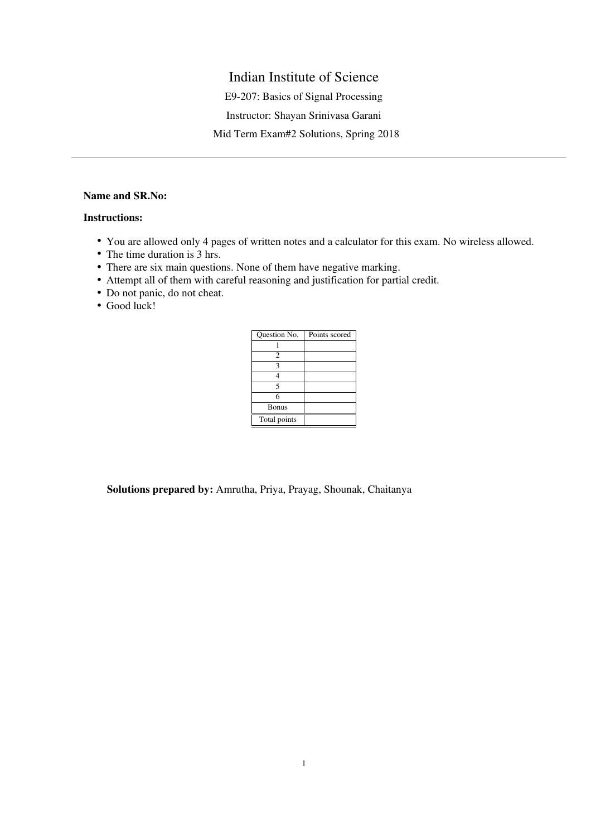# Indian Institute of Science

E9-207: Basics of Signal Processing

Instructor: Shayan Srinivasa Garani

Mid Term Exam#2 Solutions, Spring 2018

# Name and SR.No:

# Instructions:

- You are allowed only 4 pages of written notes and a calculator for this exam. No wireless allowed.
- The time duration is 3 hrs.
- There are six main questions. None of them have negative marking.
- Attempt all of them with careful reasoning and justification for partial credit.
- Do not panic, do not cheat.
- Good luck!

| Question No.   | Points scored |
|----------------|---------------|
|                |               |
| $\overline{c}$ |               |
| 3              |               |
|                |               |
| 5              |               |
| 6              |               |
| <b>Bonus</b>   |               |
| Total points   |               |

Solutions prepared by: Amrutha, Priya, Prayag, Shounak, Chaitanya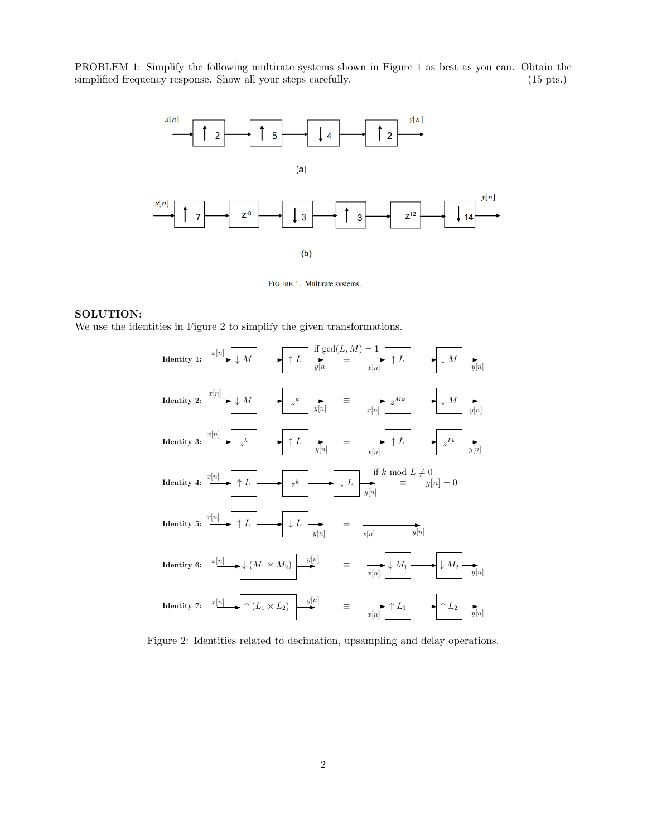PROBLEM 1: Simplify the following multirate systems shown in Figure 1 as best as you can. Obtain the simplified frequency response. Show all your steps carefully. (15 pts.) (15 pts.)



FIGURE 1. Multirate systems.

## SOLUTION:

We use the identities in Figure 2 to simplify the given transformations.



Figure 2: Identities related to decimation, upsampling and delay operations.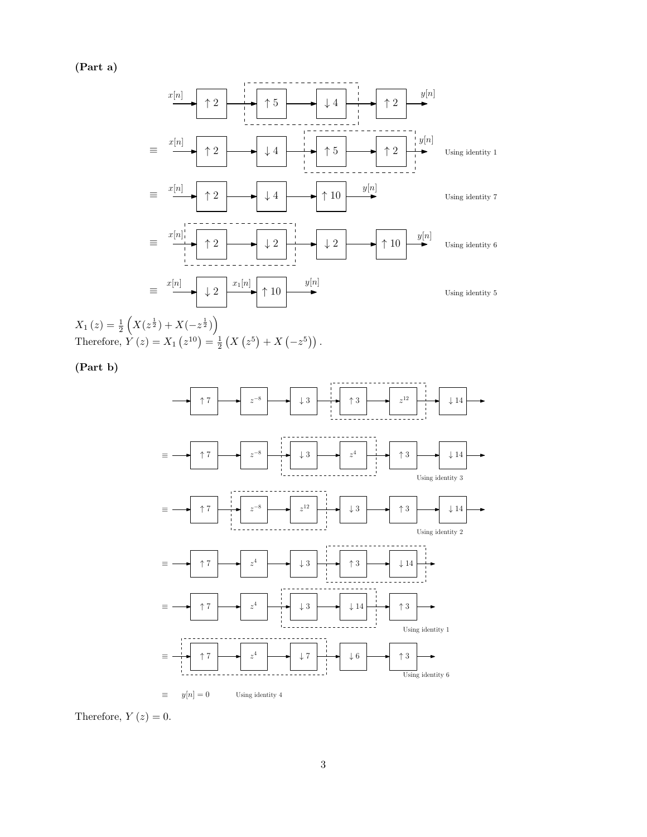(Part a)



 $X_1(z) = \frac{1}{2} \left( X(z^{\frac{1}{2}}) + X(-z^{\frac{1}{2}}) \right)$ Therefore,  $Y(z) = X_1(z^{10}) = \frac{1}{2}(X(z^5) + X(-z^5))$ .

(Part b)



Therefore,  $Y(z) = 0$ .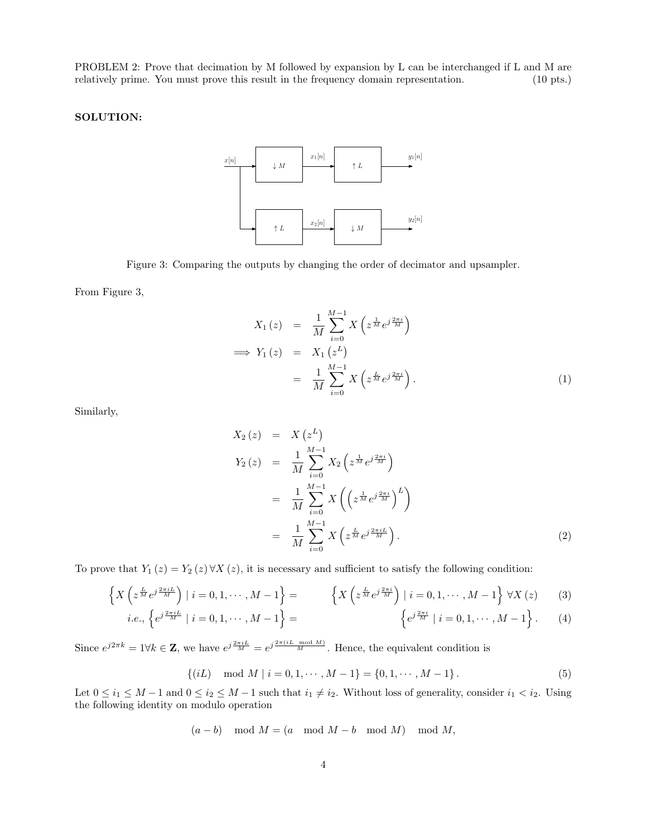PROBLEM 2: Prove that decimation by M followed by expansion by L can be interchanged if L and M are relatively prime. You must prove this result in the frequency domain representation. (10 pts.)

### SOLUTION:



Figure 3: Comparing the outputs by changing the order of decimator and upsampler.

From Figure 3,

$$
X_1(z) = \frac{1}{M} \sum_{i=0}^{M-1} X\left(z^{\frac{1}{M}} e^{j\frac{2\pi i}{M}}\right)
$$
  
\n
$$
\implies Y_1(z) = X_1(z^L)
$$
  
\n
$$
= \frac{1}{M} \sum_{i=0}^{M-1} X\left(z^{\frac{L}{M}} e^{j\frac{2\pi i}{M}}\right).
$$
 (1)

Similarly,

$$
X_2(z) = X(z^L)
$$
  
\n
$$
Y_2(z) = \frac{1}{M} \sum_{i=0}^{M-1} X_2(z^{\frac{1}{M}} e^{j\frac{2\pi i}{M}})
$$
  
\n
$$
= \frac{1}{M} \sum_{i=0}^{M-1} X\left(\left(z^{\frac{1}{M}} e^{j\frac{2\pi i}{M}}\right)^L\right)
$$
  
\n
$$
= \frac{1}{M} \sum_{i=0}^{M-1} X\left(z^{\frac{L}{M}} e^{j\frac{2\pi i L}{M}}\right).
$$
\n(2)

To prove that  $Y_1(z) = Y_2(z) \forall X(z)$ , it is necessary and sufficient to satisfy the following condition:

$$
\left\{ X \left( z^{\frac{L}{M}} e^{j \frac{2\pi i L}{M}} \right) \mid i = 0, 1, \cdots, M - 1 \right\} = \left\{ X \left( z^{\frac{L}{M}} e^{j \frac{2\pi i}{M}} \right) \mid i = 0, 1, \cdots, M - 1 \right\} \forall X (z)
$$
(3)

*i.e.*, 
$$
\{e^{j\frac{2\pi i L}{M}} | i = 0, 1, \cdots, M - 1\}
$$
 =  $\{e^{j\frac{2\pi i}{M}} | i = 0, 1, \cdots, M - 1\}$ . (4)

Since  $e^{j2\pi k} = 1 \forall k \in \mathbf{Z}$ , we have  $e^{j\frac{2\pi i L}{M}} = e^{j\frac{2\pi (iL \mod M)}{M}}$ . Hence, the equivalent condition is

$$
\{(iL) \mod M \mid i = 0, 1, \cdots, M - 1\} = \{0, 1, \cdots, M - 1\}.
$$
 (5)

Let  $0 \le i_1 \le M-1$  and  $0 \le i_2 \le M-1$  such that  $i_1 \ne i_2$ . Without loss of generality, consider  $i_1 < i_2$ . Using the following identity on modulo operation

$$
(a - b) \mod M = (a \mod M - b \mod M) \mod M,
$$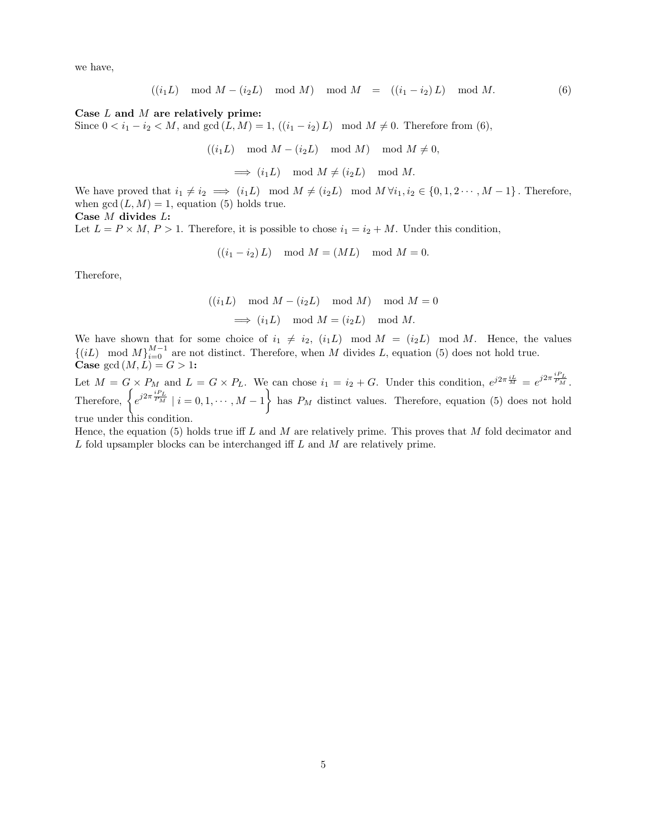we have,

$$
((i_1L) \mod M - (i_2L) \mod M) \mod M = ((i_1 - i_2)L) \mod M.
$$
 (6)

#### Case L and M are relatively prime:

Since  $0 < i_1 - i_2 < M$ , and  $gcd(L, M) = 1$ ,  $((i_1 - i_2) L) \mod M \neq 0$ . Therefore from (6),

 $((i_1L) \mod M - (i_2L) \mod M) \mod M \neq 0,$ 

 $\implies (i_1L) \mod M \neq (i_2L) \mod M.$ 

We have proved that  $i_1 \neq i_2 \implies (i_1L) \mod M \neq (i_2L) \mod M \,\forall i_1, i_2 \in \{0, 1, 2 \cdots, M-1\}$ . Therefore, when  $gcd(L, M) = 1$ , equation (5) holds true. Case M divides L:

Let  $L = P \times M$ ,  $P > 1$ . Therefore, it is possible to chose  $i_1 = i_2 + M$ . Under this condition,

$$
((i_1 - i_2)L) \mod M = (ML) \mod M = 0.
$$

Therefore,

$$
((i_1L) \mod M - (i_2L) \mod M) \mod M = 0
$$
  
 $\implies (i_1L) \mod M = (i_2L) \mod M.$ 

We have shown that for some choice of  $i_1 \neq i_2$ ,  $(i_1L) \mod M = (i_2L) \mod M$ . Hence, the values  $\{(iL) \mod M\}_{i=0}^{M-1}$  are not distinct. Therefore, when M divides L, equation (5) does not hold true. Case gcd  $(M, L) = G > 1$ :

Let  $M = G \times P_M$  and  $L = G \times P_L$ . We can chose  $i_1 = i_2 + G$ . Under this condition,  $e^{j2\pi \frac{iL}{M}} = e^{j2\pi \frac{iPL}{P_M}}$ . Therefore,  $\left\{e^{j2\pi \frac{iP_L}{P_M}} \mid i = 0, 1, \cdots, M-1\right\}$  has  $P_M$  distinct values. Therefore, equation (5) does not hold true under this condition.

Hence, the equation (5) holds true iff L and M are relatively prime. This proves that M fold decimator and  $L$  fold upsampler blocks can be interchanged iff  $L$  and  $M$  are relatively prime.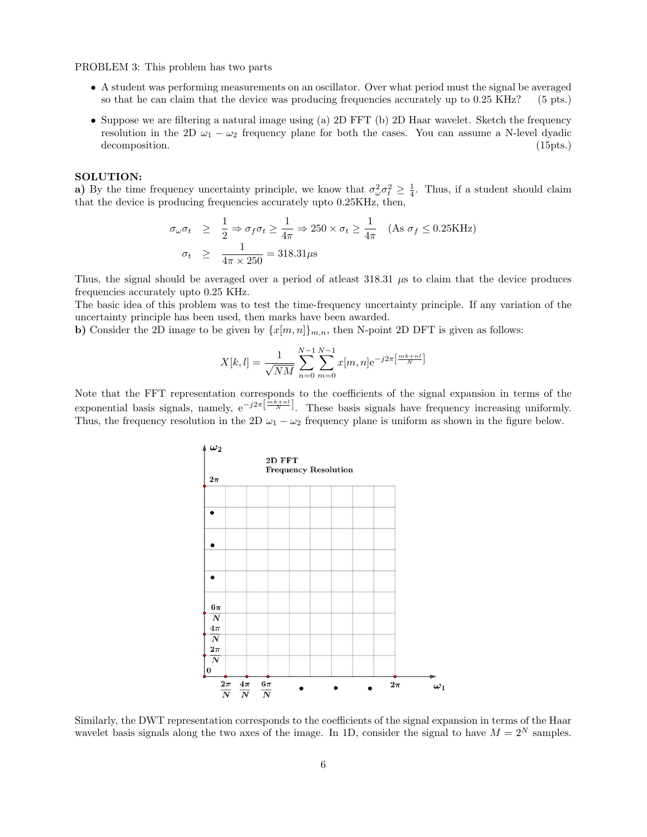PROBLEM 3: This problem has two parts

- A student was performing measurements on an oscillator. Over what period must the signal be averaged so that he can claim that the device was producing frequencies accurately up to 0.25 KHz? (5 pts.) so that he can claim that the device was producing frequencies accurately up to  $0.25 \text{ KHz}$ ?
- Suppose we are filtering a natural image using (a) 2D FFT (b) 2D Haar wavelet. Sketch the frequency resolution in the 2D  $\omega_1 - \omega_2$  frequency plane for both the cases. You can assume a N-level dyadic decomposition. (15pts.) decomposition.

#### SOLUTION:

a) By the time frequency uncertainty principle, we know that  $\sigma_{\omega}^2 \sigma_t^2 \geq \frac{1}{4}$ . Thus, if a student should claim that the device is producing frequencies accurately upto 0.25KHz, then,

$$
\sigma_{\omega}\sigma_t \geq \frac{1}{2} \Rightarrow \sigma_f \sigma_t \geq \frac{1}{4\pi} \Rightarrow 250 \times \sigma_t \geq \frac{1}{4\pi} \quad \text{(As } \sigma_f \leq 0.25 \text{KHz)}
$$
\n
$$
\sigma_t \geq \frac{1}{4\pi \times 250} = 318.31 \mu \text{s}
$$

Thus, the signal should be averaged over a period of atleast  $318.31 \mu s$  to claim that the device produces frequencies accurately upto 0.25 KHz.

The basic idea of this problem was to test the time-frequency uncertainty principle. If any variation of the uncertainty principle has been used, then marks have been awarded.

b) Consider the 2D image to be given by  $\{x[m,n]\}_{m,n}$ , then N-point 2D DFT is given as follows:

$$
X[k,l] = \frac{1}{\sqrt{NM}} \sum_{n=0}^{N-1} \sum_{m=0}^{N-1} x[m,n] e^{-j2\pi \left[\frac{mk+nl}{N}\right]}
$$

Note that the FFT representation corresponds to the coefficients of the signal expansion in terms of the exponential basis signals, namely,  $e^{-j2\pi \left[\frac{mk+nl}{N}\right]}$ . These basis signals have frequency increasing uniformly. Thus, the frequency resolution in the 2D  $\omega_1 - \omega_2$  frequency plane is uniform as shown in the figure below.



Similarly, the DWT representation corresponds to the coefficients of the signal expansion in terms of the Haar wavelet basis signals along the two axes of the image. In 1D, consider the signal to have  $M = 2^N$  samples.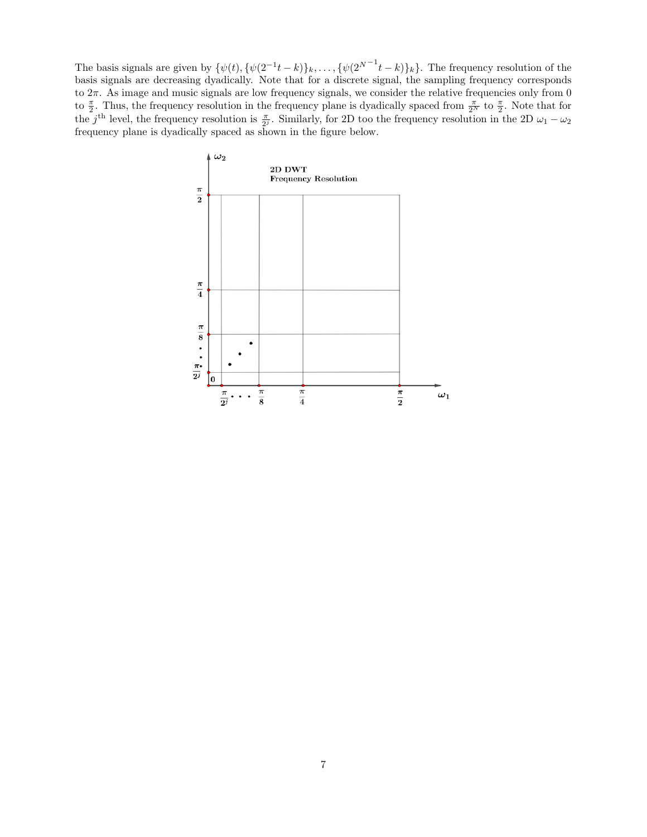The basis signals are given by  $\{\psi(t), \{\psi(2^{-1}t-k)\}_k, \ldots, \{\psi(2^{N-1}t-k)\}_k\}$ . The frequency resolution of the basis signals are decreasing dyadically. Note that for a discrete signal, the sampling frequency corresponds to  $2\pi$ . As image and music signals are low frequency signals, we consider the relative frequencies only from 0 to  $\frac{\pi}{2}$ . Thus, the frequency resolution in the frequency plane is dyadically spaced from  $\frac{\pi}{2^N}$  to  $\frac{\pi}{2}$ . Note that for the j<sup>th</sup> level, the frequency resolution is  $\frac{\pi}{2^j}$ . Similarly, for 2D too the frequency resolution in the 2D  $\omega_1 - \omega_2$ frequency plane is dyadically spaced as shown in the figure below.

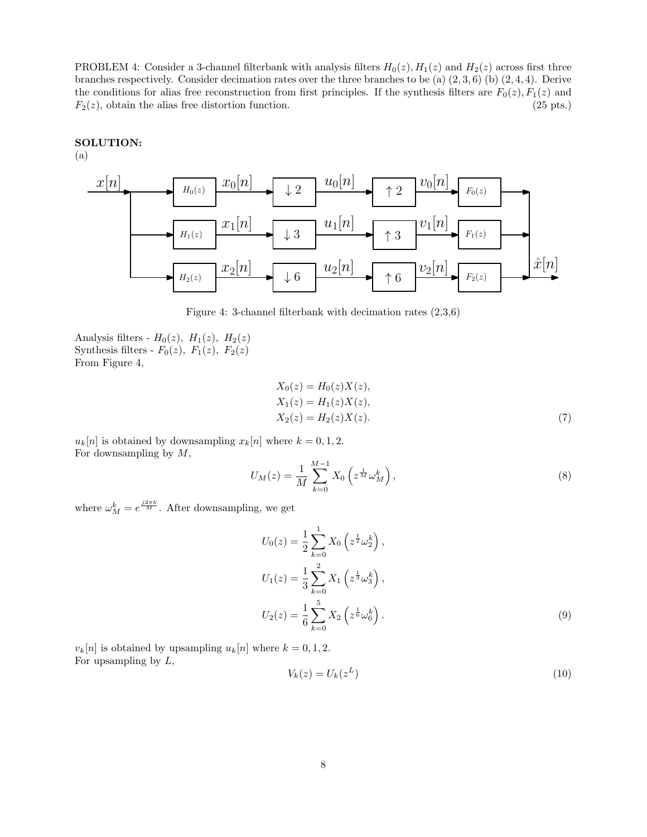PROBLEM 4: Consider a 3-channel filterbank with analysis filters  $H_0(z)$ ,  $H_1(z)$  and  $H_2(z)$  across first three branches respectively. Consider decimation rates over the three branches to be (a)  $(2,3,6)$  (b)  $(2,4,4)$ . Derive the conditions for alias free reconstruction from first principles. If the synthesis filters are  $F_0(z)$ ,  $F_1(z)$  and  $F_2(z)$ , obtain the alias free distortion function. (25 pts.)

# SOLUTION:

(a)



Figure 4: 3-channel filterbank with decimation rates (2,3,6)

Analysis filters -  $H_0(z)$ ,  $H_1(z)$ ,  $H_2(z)$ Synthesis filters -  $F_0(z)$ ,  $F_1(z)$ ,  $F_2(z)$ From Figure 4,

$$
X_0(z) = H_0(z)X(z),
$$
  
\n
$$
X_1(z) = H_1(z)X(z),
$$
  
\n
$$
X_2(z) = H_2(z)X(z).
$$
\n(7)

 $u_k[n]$  is obtained by downsampling  $x_k[n]$  where  $k = 0, 1, 2$ . For downsampling by  $M$ ,

$$
U_M(z) = \frac{1}{M} \sum_{k=0}^{M-1} X_0 \left( z^{\frac{1}{M}} \omega_M^k \right),
$$
 (8)

where  $\omega_M^k = e^{\frac{j2\pi k}{M}}$ . After downsampling, we get

$$
U_0(z) = \frac{1}{2} \sum_{k=0}^{1} X_0 \left( z^{\frac{1}{2}} \omega_2^k \right),
$$
  
\n
$$
U_1(z) = \frac{1}{3} \sum_{k=0}^{2} X_1 \left( z^{\frac{1}{3}} \omega_3^k \right),
$$
  
\n
$$
U_2(z) = \frac{1}{6} \sum_{k=0}^{5} X_2 \left( z^{\frac{1}{6}} \omega_6^k \right).
$$
\n(9)

 $v_k[n]$  is obtained by upsampling  $u_k[n]$  where  $k = 0, 1, 2$ . For upsampling by  $L$ ,

$$
V_k(z) = U_k(z^L) \tag{10}
$$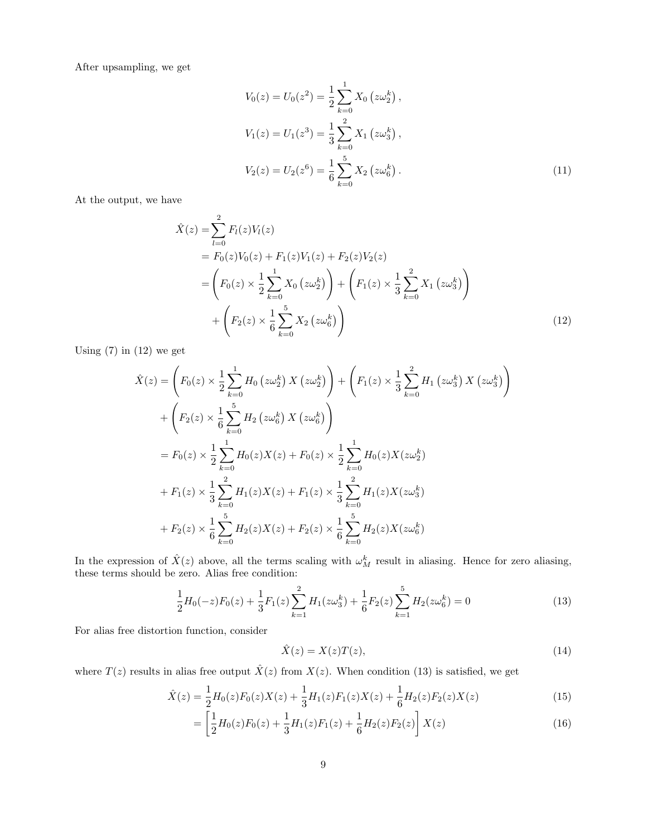After upsampling, we get

$$
V_0(z) = U_0(z^2) = \frac{1}{2} \sum_{k=0}^{1} X_0 (z\omega_2^k),
$$
  
\n
$$
V_1(z) = U_1(z^3) = \frac{1}{3} \sum_{k=0}^{2} X_1 (z\omega_3^k),
$$
  
\n
$$
V_2(z) = U_2(z^6) = \frac{1}{6} \sum_{k=0}^{5} X_2 (z\omega_6^k).
$$
\n(11)

At the output, we have

$$
\hat{X}(z) = \sum_{l=0}^{2} F_l(z) V_l(z)
$$
\n
$$
= F_0(z) V_0(z) + F_1(z) V_1(z) + F_2(z) V_2(z)
$$
\n
$$
= \left(F_0(z) \times \frac{1}{2} \sum_{k=0}^{1} X_0 (z \omega_2^k) \right) + \left(F_1(z) \times \frac{1}{3} \sum_{k=0}^{2} X_1 (z \omega_3^k) \right)
$$
\n
$$
+ \left(F_2(z) \times \frac{1}{6} \sum_{k=0}^{5} X_2 (z \omega_6^k) \right)
$$
\n(12)

Using  $(7)$  in  $(12)$  we get

$$
\hat{X}(z) = \left(F_0(z) \times \frac{1}{2} \sum_{k=0}^1 H_0(z\omega_2^k) X(z\omega_2^k)\right) + \left(F_1(z) \times \frac{1}{3} \sum_{k=0}^2 H_1(z\omega_3^k) X(z\omega_3^k)\right) \n+ \left(F_2(z) \times \frac{1}{6} \sum_{k=0}^5 H_2(z\omega_6^k) X(z\omega_6^k)\right) \n= F_0(z) \times \frac{1}{2} \sum_{k=0}^1 H_0(z) X(z) + F_0(z) \times \frac{1}{2} \sum_{k=0}^1 H_0(z) X(z\omega_2^k) \n+ F_1(z) \times \frac{1}{3} \sum_{k=0}^2 H_1(z) X(z) + F_1(z) \times \frac{1}{3} \sum_{k=0}^2 H_1(z) X(z\omega_3^k) \n+ F_2(z) \times \frac{1}{6} \sum_{k=0}^5 H_2(z) X(z) + F_2(z) \times \frac{1}{6} \sum_{k=0}^5 H_2(z) X(z\omega_6^k)
$$

In the expression of  $\hat{X}(z)$  above, all the terms scaling with  $\omega_M^k$  result in aliasing. Hence for zero aliasing, these terms should be zero. Alias free condition:

$$
\frac{1}{2}H_0(-z)F_0(z) + \frac{1}{3}F_1(z)\sum_{k=1}^2 H_1(z\omega_3^k) + \frac{1}{6}F_2(z)\sum_{k=1}^5 H_2(z\omega_6^k) = 0
$$
\n(13)

For alias free distortion function, consider

$$
\hat{X}(z) = X(z)T(z),\tag{14}
$$

where  $T(z)$  results in alias free output  $\hat{X}(z)$  from  $X(z)$ . When condition (13) is satisfied, we get

$$
\hat{X}(z) = \frac{1}{2}H_0(z)F_0(z)X(z) + \frac{1}{3}H_1(z)F_1(z)X(z) + \frac{1}{6}H_2(z)F_2(z)X(z)
$$
\n(15)

$$
= \left[\frac{1}{2}H_0(z)F_0(z) + \frac{1}{3}H_1(z)F_1(z) + \frac{1}{6}H_2(z)F_2(z)\right]X(z)
$$
\n(16)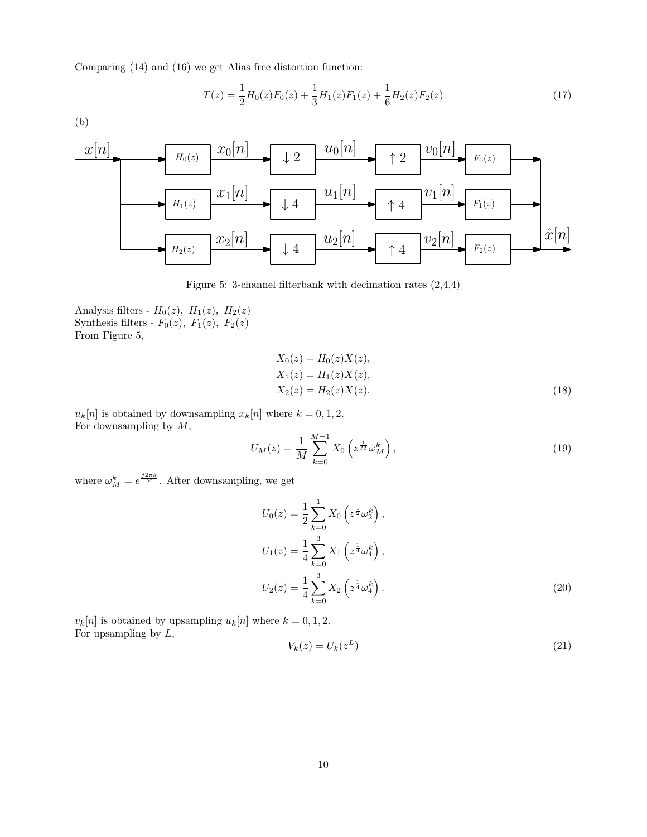Comparing (14) and (16) we get Alias free distortion function:

$$
T(z) = \frac{1}{2}H_0(z)F_0(z) + \frac{1}{3}H_1(z)F_1(z) + \frac{1}{6}H_2(z)F_2(z)
$$
\n(17)

(b)



Figure 5: 3-channel filterbank with decimation rates (2,4,4)

Analysis filters -  $H_0(z)$ ,  $H_1(z)$ ,  $H_2(z)$ Synthesis filters -  $F_0(z)$ ,  $F_1(z)$ ,  $F_2(z)$ From Figure 5,

$$
X_0(z) = H_0(z)X(z),
$$
  
\n
$$
X_1(z) = H_1(z)X(z),
$$
  
\n
$$
X_2(z) = H_2(z)X(z).
$$
\n(18)

 $u_k[n]$  is obtained by downsampling  $x_k[n]$  where  $k = 0, 1, 2$ . For downsampling by  $M$ ,

$$
U_M(z) = \frac{1}{M} \sum_{k=0}^{M-1} X_0 \left( z^{\frac{1}{M}} \omega_M^k \right), \tag{19}
$$

where  $\omega_M^k = e^{\frac{j2\pi k}{M}}$ . After downsampling, we get

$$
U_0(z) = \frac{1}{2} \sum_{k=0}^{1} X_0 \left( z^{\frac{1}{2}} \omega_2^k \right),
$$
  
\n
$$
U_1(z) = \frac{1}{4} \sum_{k=0}^{3} X_1 \left( z^{\frac{1}{4}} \omega_4^k \right),
$$
  
\n
$$
U_2(z) = \frac{1}{4} \sum_{k=0}^{3} X_2 \left( z^{\frac{1}{4}} \omega_4^k \right).
$$
\n(20)

 $v_k[n]$  is obtained by upsampling  $u_k[n]$  where  $k = 0, 1, 2$ . For upsampling by  $L$ ,

$$
V_k(z) = U_k(z^L) \tag{21}
$$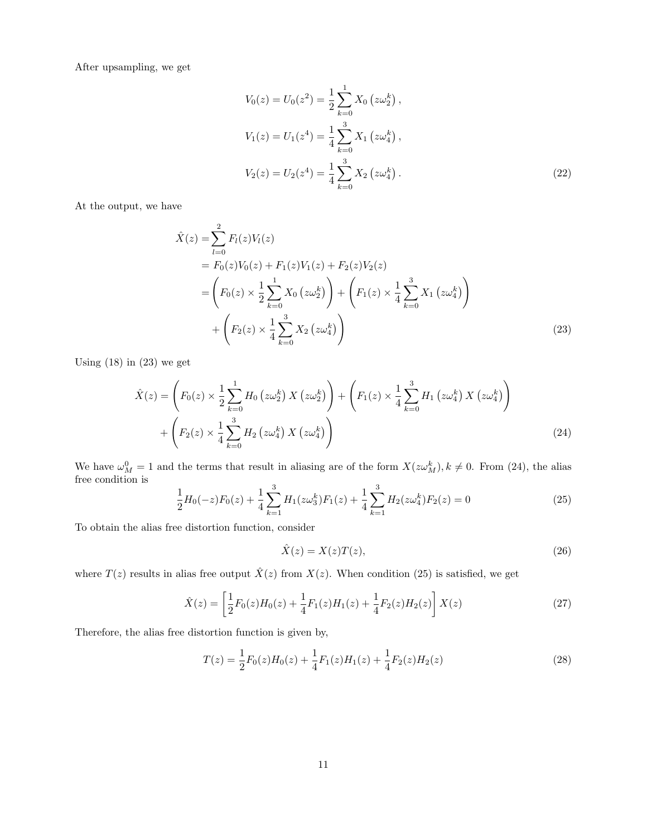After upsampling, we get

$$
V_0(z) = U_0(z^2) = \frac{1}{2} \sum_{k=0}^{1} X_0 (z\omega_2^k),
$$
  
\n
$$
V_1(z) = U_1(z^4) = \frac{1}{4} \sum_{k=0}^{3} X_1 (z\omega_4^k),
$$
  
\n
$$
V_2(z) = U_2(z^4) = \frac{1}{4} \sum_{k=0}^{3} X_2 (z\omega_4^k).
$$
\n(22)

At the output, we have

$$
\hat{X}(z) = \sum_{l=0}^{2} F_l(z) V_l(z)
$$
\n
$$
= F_0(z) V_0(z) + F_1(z) V_1(z) + F_2(z) V_2(z)
$$
\n
$$
= \left( F_0(z) \times \frac{1}{2} \sum_{k=0}^{1} X_0 (z \omega_2^k) \right) + \left( F_1(z) \times \frac{1}{4} \sum_{k=0}^{3} X_1 (z \omega_4^k) \right)
$$
\n
$$
+ \left( F_2(z) \times \frac{1}{4} \sum_{k=0}^{3} X_2 (z \omega_4^k) \right)
$$
\n(23)

Using  $(18)$  in  $(23)$  we get

$$
\hat{X}(z) = \left(F_0(z) \times \frac{1}{2} \sum_{k=0}^{1} H_0(z\omega_2^k) X(z\omega_2^k)\right) + \left(F_1(z) \times \frac{1}{4} \sum_{k=0}^{3} H_1(z\omega_4^k) X(z\omega_4^k)\right) + \left(F_2(z) \times \frac{1}{4} \sum_{k=0}^{3} H_2(z\omega_4^k) X(z\omega_4^k)\right)
$$
\n(24)

We have  $\omega_M^0 = 1$  and the terms that result in aliasing are of the form  $X(z\omega_M^k)$ ,  $k \neq 0$ . From (24), the alias free condition is  $\frac{3}{1}$   $\frac{3}{1}$   $\frac{3}{1}$   $\frac{3}{1}$ 

$$
\frac{1}{2}H_0(-z)F_0(z) + \frac{1}{4}\sum_{k=1}^3 H_1(z\omega_3^k)F_1(z) + \frac{1}{4}\sum_{k=1}^3 H_2(z\omega_4^k)F_2(z) = 0
$$
\n(25)

To obtain the alias free distortion function, consider

$$
\hat{X}(z) = X(z)T(z),\tag{26}
$$

where  $T(z)$  results in alias free output  $\hat{X}(z)$  from  $X(z)$ . When condition (25) is satisfied, we get

$$
\hat{X}(z) = \left[\frac{1}{2}F_0(z)H_0(z) + \frac{1}{4}F_1(z)H_1(z) + \frac{1}{4}F_2(z)H_2(z)\right]X(z)
$$
\n(27)

Therefore, the alias free distortion function is given by,

$$
T(z) = \frac{1}{2}F_0(z)H_0(z) + \frac{1}{4}F_1(z)H_1(z) + \frac{1}{4}F_2(z)H_2(z)
$$
\n(28)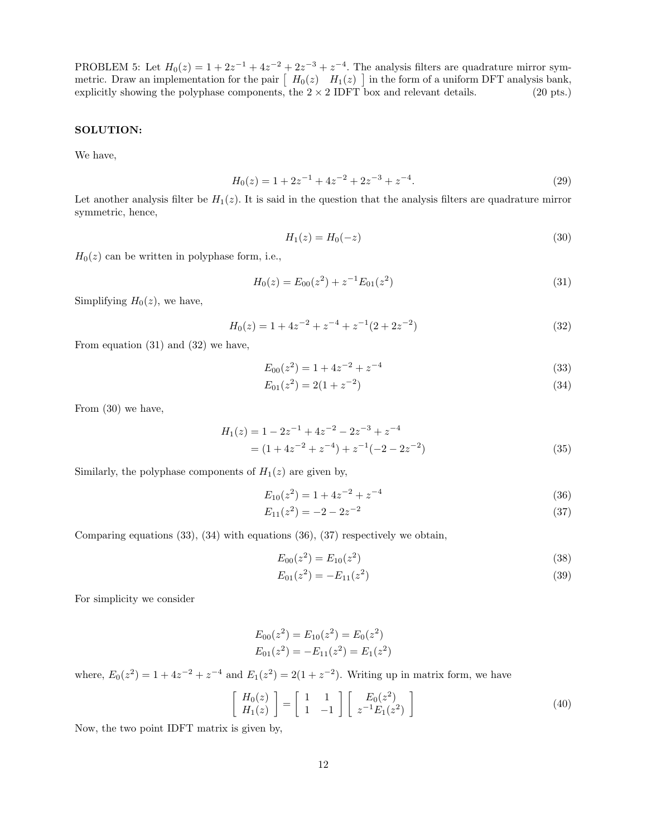PROBLEM 5: Let  $H_0(z) = 1 + 2z^{-1} + 4z^{-2} + 2z^{-3} + z^{-4}$ . The analysis filters are quadrature mirror symmetric. Draw an implementation for the pair  $\left[ H_0(z)$   $H_1(z) \right]$  in the form of a uniform DFT analysis bank, explicitly showing the polyphase components, the  $2 \times 2$  IDFT box and relevant details. (20 pts.)

#### SOLUTION:

We have,

$$
H_0(z) = 1 + 2z^{-1} + 4z^{-2} + 2z^{-3} + z^{-4}.
$$
\n(29)

Let another analysis filter be  $H_1(z)$ . It is said in the question that the analysis filters are quadrature mirror symmetric, hence,

$$
H_1(z) = H_0(-z)
$$
\n(30)

 $H_0(z)$  can be written in polyphase form, i.e.,

$$
H_0(z) = E_{00}(z^2) + z^{-1} E_{01}(z^2)
$$
\n(31)

Simplifying  $H_0(z)$ , we have,

$$
H_0(z) = 1 + 4z^{-2} + z^{-4} + z^{-1}(2 + 2z^{-2})
$$
\n(32)

From equation (31) and (32) we have,

$$
E_{00}(z^2) = 1 + 4z^{-2} + z^{-4}
$$
\n(33)

$$
E_{01}(z^2) = 2(1 + z^{-2})\tag{34}
$$

From (30) we have,

$$
H_1(z) = 1 - 2z^{-1} + 4z^{-2} - 2z^{-3} + z^{-4}
$$
  
=  $(1 + 4z^{-2} + z^{-4}) + z^{-1}(-2 - 2z^{-2})$  (35)

Similarly, the polyphase components of  $H_1(z)$  are given by,

$$
E_{10}(z^2) = 1 + 4z^{-2} + z^{-4}
$$
\n(36)

$$
E_{11}(z^2) = -2 - 2z^{-2} \tag{37}
$$

Comparing equations (33), (34) with equations (36), (37) respectively we obtain,

$$
E_{00}(z^2) = E_{10}(z^2)
$$
\n(38)

$$
E_{01}(z^2) = -E_{11}(z^2)
$$
\n(39)

For simplicity we consider

$$
E_{00}(z^2) = E_{10}(z^2) = E_0(z^2)
$$
  

$$
E_{01}(z^2) = -E_{11}(z^2) = E_1(z^2)
$$

where,  $E_0(z^2) = 1 + 4z^{-2} + z^{-4}$  and  $E_1(z^2) = 2(1 + z^{-2})$ . Writing up in matrix form, we have

$$
\begin{bmatrix} H_0(z) \\ H_1(z) \end{bmatrix} = \begin{bmatrix} 1 & 1 \\ 1 & -1 \end{bmatrix} \begin{bmatrix} E_0(z^2) \\ z^{-1}E_1(z^2) \end{bmatrix}
$$
 (40)

Now, the two point IDFT matrix is given by,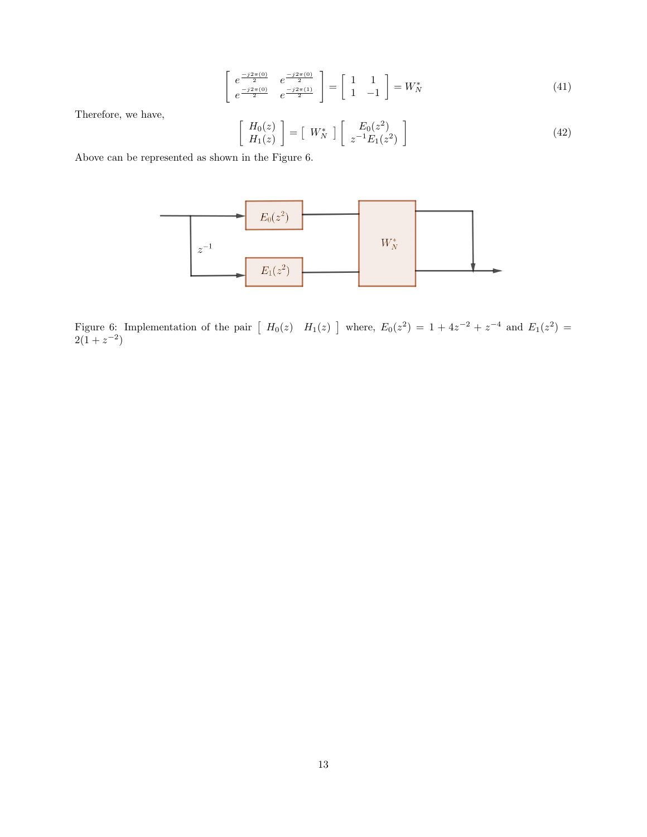$$
\begin{bmatrix} e^{\frac{-j2\pi(0)}{2}} & e^{\frac{-j2\pi(0)}{2}} \\ e^{\frac{-j2\pi(0)}{2}} & e^{\frac{-j2\pi(1)}{2}} \end{bmatrix} = \begin{bmatrix} 1 & 1 \\ 1 & -1 \end{bmatrix} = W_N^*
$$
 (41)

Therefore, we have,

$$
\begin{bmatrix} H_0(z) \\ H_1(z) \end{bmatrix} = \begin{bmatrix} W_N^* \end{bmatrix} \begin{bmatrix} E_0(z^2) \\ z^{-1} E_1(z^2) \end{bmatrix}
$$
\n(42)

Above can be represented as shown in the Figure 6.



Figure 6: Implementation of the pair  $\left[f_{0}(z)$   $H_{1}(z)\right]$  where,  $E_{0}(z^{2}) = 1 + 4z^{-2} + z^{-4}$  and  $E_{1}(z^{2}) = 1 + 4z^{-2} + 4z^{-4}$  $2(1+z^{-2})$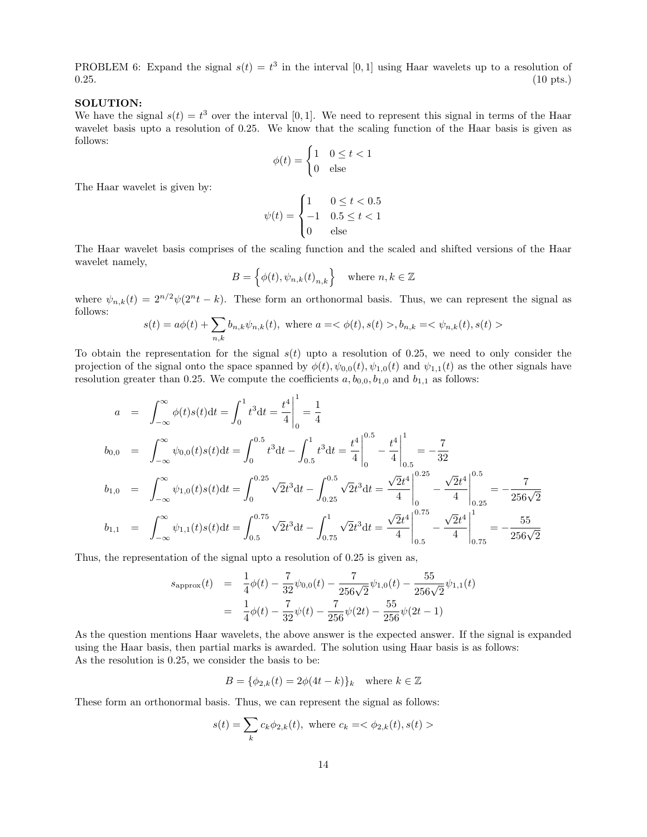PROBLEM 6: Expand the signal  $s(t) = t^3$  in the interval [0,1] using Haar wavelets up to a resolution of  $0.25.$  (10 pts.)

#### SOLUTION:

We have the signal  $s(t) = t^3$  over the interval [0,1]. We need to represent this signal in terms of the Haar wavelet basis upto a resolution of 0.25. We know that the scaling function of the Haar basis is given as follows:

$$
\phi(t) = \begin{cases} 1 & 0 \le t < 1 \\ 0 & \text{else} \end{cases}
$$

The Haar wavelet is given by:

$$
\psi(t) = \begin{cases} 1 & 0 \le t < 0.5 \\ -1 & 0.5 \le t < 1 \\ 0 & \text{else} \end{cases}
$$

The Haar wavelet basis comprises of the scaling function and the scaled and shifted versions of the Haar wavelet namely,

$$
B = \left\{ \phi(t), \psi_{n,k}(t)_{n,k} \right\} \quad \text{where } n, k \in \mathbb{Z}
$$

where  $\psi_{n,k}(t) = 2^{n/2}\psi(2^n t - k)$ . These form an orthonormal basis. Thus, we can represent the signal as follows:

$$
s(t) = a\phi(t) + \sum_{n,k} b_{n,k} \psi_{n,k}(t), \text{ where } a = \langle \phi(t), s(t) \rangle, b_{n,k} = \langle \psi_{n,k}(t), s(t) \rangle
$$

To obtain the representation for the signal  $s(t)$  upto a resolution of 0.25, we need to only consider the projection of the signal onto the space spanned by  $\phi(t)$ ,  $\psi_{0,0}(t)$ ,  $\psi_{1,0}(t)$  and  $\psi_{1,1}(t)$  as the other signals have resolution greater than 0.25. We compute the coefficients  $a, b_{0,0}, b_{1,0}$  and  $b_{1,1}$  as follows:

$$
a = \int_{-\infty}^{\infty} \phi(t)s(t)dt = \int_{0}^{1} t^{3}dt = \frac{t^{4}}{4} \Big|_{0}^{1} = \frac{1}{4}
$$
  
\n
$$
b_{0,0} = \int_{-\infty}^{\infty} \psi_{0,0}(t)s(t)dt = \int_{0}^{0.5} t^{3}dt - \int_{0.5}^{1} t^{3}dt = \frac{t^{4}}{4} \Big|_{0}^{0.5} - \frac{t^{4}}{4} \Big|_{0.5}^{1} = -\frac{7}{32}
$$
  
\n
$$
b_{1,0} = \int_{-\infty}^{\infty} \psi_{1,0}(t)s(t)dt = \int_{0}^{0.25} \sqrt{2}t^{3}dt - \int_{0.25}^{0.5} \sqrt{2}t^{3}dt = \frac{\sqrt{2}t^{4}}{4} \Big|_{0}^{0.25} - \frac{\sqrt{2}t^{4}}{4} \Big|_{0.25}^{0.5} = -\frac{7}{256\sqrt{2}}
$$
  
\n
$$
b_{1,1} = \int_{-\infty}^{\infty} \psi_{1,1}(t)s(t)dt = \int_{0.5}^{0.75} \sqrt{2}t^{3}dt - \int_{0.75}^{1} \sqrt{2}t^{3}dt = \frac{\sqrt{2}t^{4}}{4} \Big|_{0.5}^{0.75} - \frac{\sqrt{2}t^{4}}{4} \Big|_{0.75}^{1} = -\frac{55}{256\sqrt{2}}
$$

Thus, the representation of the signal upto a resolution of 0.25 is given as,

$$
s_{\text{approx}}(t) = \frac{1}{4}\phi(t) - \frac{7}{32}\psi_{0,0}(t) - \frac{7}{256\sqrt{2}}\psi_{1,0}(t) - \frac{55}{256\sqrt{2}}\psi_{1,1}(t)
$$
  

$$
= \frac{1}{4}\phi(t) - \frac{7}{32}\psi(t) - \frac{7}{256}\psi(2t) - \frac{55}{256}\psi(2t - 1)
$$

As the question mentions Haar wavelets, the above answer is the expected answer. If the signal is expanded using the Haar basis, then partial marks is awarded. The solution using Haar basis is as follows: As the resolution is 0.25, we consider the basis to be:

$$
B = \{ \phi_{2,k}(t) = 2\phi(4t - k) \}_k \quad \text{where } k \in \mathbb{Z}
$$

These form an orthonormal basis. Thus, we can represent the signal as follows:

$$
s(t) = \sum_{k} c_k \phi_{2,k}(t), \text{ where } c_k = \langle \phi_{2,k}(t), s(t) \rangle
$$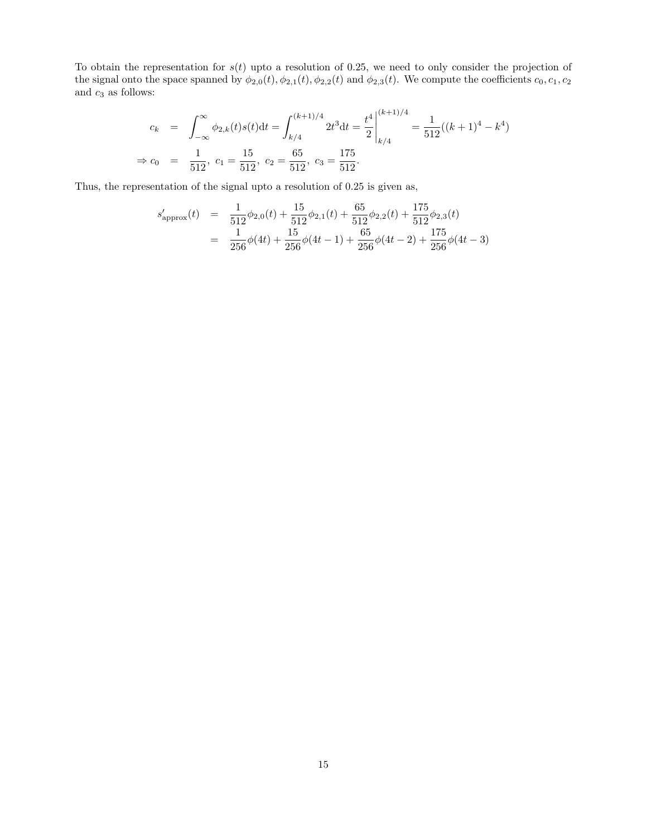To obtain the representation for  $s(t)$  upto a resolution of 0.25, we need to only consider the projection of the signal onto the space spanned by  $\phi_{2,0}(t), \phi_{2,1}(t), \phi_{2,2}(t)$  and  $\phi_{2,3}(t)$ . We compute the coefficients  $c_0, c_1, c_2$ and  $c_3$  as follows:

$$
c_k = \int_{-\infty}^{\infty} \phi_{2,k}(t)s(t)dt = \int_{k/4}^{(k+1)/4} 2t^3 dt = \frac{t^4}{2} \Big|_{k/4}^{(k+1)/4} = \frac{1}{512}((k+1)^4 - k^4)
$$
  
\n
$$
\Rightarrow c_0 = \frac{1}{512}, \ c_1 = \frac{15}{512}, \ c_2 = \frac{65}{512}, \ c_3 = \frac{175}{512}.
$$

Thus, the representation of the signal upto a resolution of 0.25 is given as,

$$
s'_{\text{approx}}(t) = \frac{1}{512} \phi_{2,0}(t) + \frac{15}{512} \phi_{2,1}(t) + \frac{65}{512} \phi_{2,2}(t) + \frac{175}{512} \phi_{2,3}(t)
$$
  
= 
$$
\frac{1}{256} \phi(4t) + \frac{15}{256} \phi(4t - 1) + \frac{65}{256} \phi(4t - 2) + \frac{175}{256} \phi(4t - 3)
$$